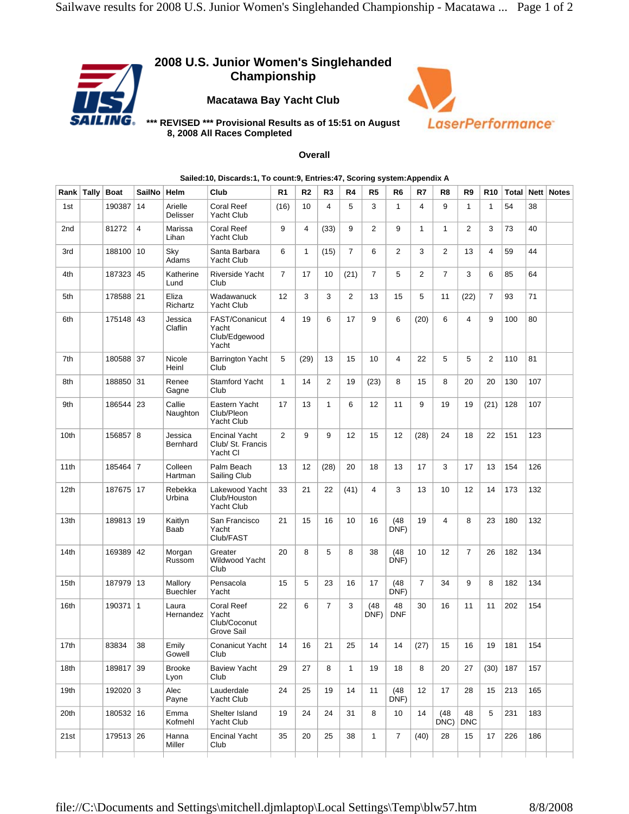## **2008 U.S. Junior Women's Singlehanded Championship**

**Macatawa Bay Yacht Club** 



**\*\*\* REVISED \*\*\* Provisional Results as of 15:51 on August 8, 2008 All Races Completed** 

## **Overall**

| Rank   Tally     | <b>Boat</b> | <b>SailNo</b>  | Helm                       | Club                                                     | R <sub>1</sub> | R <sub>2</sub> | R3             | R4             | R <sub>5</sub> | R6               | R7             | R8             | R9               | <b>R10</b>   |     |     | Total   Nett   Notes |
|------------------|-------------|----------------|----------------------------|----------------------------------------------------------|----------------|----------------|----------------|----------------|----------------|------------------|----------------|----------------|------------------|--------------|-----|-----|----------------------|
| 1st              | 190387      | 14             | Arielle<br>Delisser        | Coral Reef<br>Yacht Club                                 | (16)           | 10             | 4              | 5              | 3              | 1                | 4              | 9              | $\mathbf{1}$     | $\mathbf{1}$ | 54  | 38  |                      |
| 2nd              | 81272       | $\overline{4}$ | Marissa<br>Lihan           | Coral Reef<br><b>Yacht Club</b>                          | 9              | 4              | (33)           | 9              | 2              | 9                | $\mathbf{1}$   | $\mathbf{1}$   | 2                | 3            | 73  | 40  |                      |
| 3rd              | 188100 10   |                | Sky<br>Adams               | Santa Barbara<br><b>Yacht Club</b>                       | 6              | $\mathbf{1}$   | (15)           | $\overline{7}$ | 6              | 2                | 3              | $\overline{2}$ | 13               | 4            | 59  | 44  |                      |
| 4th              | 187323      | 45             | Katherine<br>Lund          | Riverside Yacht<br>Club                                  | $\overline{7}$ | 17             | 10             | (21)           | $\overline{7}$ | 5                | $\overline{2}$ | $\overline{7}$ | 3                | 6            | 85  | 64  |                      |
| 5th              | 178588 21   |                | Eliza<br>Richartz          | Wadawanuck<br><b>Yacht Club</b>                          | 12             | 3              | 3              | 2              | 13             | 15               | 5              | 11             | (22)             | 7            | 93  | 71  |                      |
| 6th              | 175148      | 43             | Jessica<br>Claflin         | FAST/Conanicut<br>Yacht<br>Club/Edgewood<br>Yacht        | $\overline{4}$ | 19             | 6              | 17             | 9              | 6                | (20)           | 6              | 4                | 9            | 100 | 80  |                      |
| 7th              | 180588 37   |                | Nicole<br>Heinl            | <b>Barrington Yacht</b><br>Club                          | 5              | (29)           | 13             | 15             | 10             | 4                | 22             | 5              | 5                | 2            | 110 | 81  |                      |
| 8th              | 188850 31   |                | Renee<br>Gagne             | Stamford Yacht<br>Club                                   | $\mathbf{1}$   | 14             | 2              | 19             | (23)           | 8                | 15             | 8              | 20               | 20           | 130 | 107 |                      |
| 9th              | 186544 23   |                | Callie<br>Naughton         | Eastern Yacht<br>Club/Pleon<br><b>Yacht Club</b>         | 17             | 13             | $\mathbf{1}$   | 6              | 12             | 11               | 9              | 19             | 19               | (21)         | 128 | 107 |                      |
| 10th             | 156857 8    |                | Jessica<br>Bernhard        | <b>Encinal Yacht</b><br>Club/ St. Francis<br>Yacht Cl    | $\overline{2}$ | 9              | 9              | 12             | 15             | 12               | (28)           | 24             | 18               | 22           | 151 | 123 |                      |
| 11th             | 185464      | $\overline{7}$ | Colleen<br>Hartman         | Palm Beach<br>Sailing Club                               | 13             | 12             | (28)           | 20             | 18             | 13               | 17             | 3              | 17               | 13           | 154 | 126 |                      |
| 12 <sub>th</sub> | 187675 17   |                | Rebekka<br>Urbina          | Lakewood Yacht<br>Club/Houston<br>Yacht Club             | 33             | 21             | 22             | (41)           | 4              | 3                | 13             | 10             | 12               | 14           | 173 | 132 |                      |
| 13th             | 189813 19   |                | Kaitlyn<br>Baab            | San Francisco<br>Yacht<br>Club/FAST                      | 21             | 15             | 16             | 10             | 16             | (48)<br>DNF)     | 19             | $\overline{4}$ | 8                | 23           | 180 | 132 |                      |
| 14th             | 169389 42   |                | Morgan<br>Russom           | Greater<br>Wildwood Yacht<br>Club                        | 20             | 8              | 5              | 8              | 38             | (48)<br>DNF)     | 10             | 12             | $\overline{7}$   | 26           | 182 | 134 |                      |
| 15th             | 187979 13   |                | Mallory<br><b>Buechler</b> | Pensacola<br>Yacht                                       | 15             | 5              | 23             | 16             | 17             | (48)<br>DNF)     | $\overline{7}$ | 34             | 9                | 8            | 182 | 134 |                      |
| 16th             | 190371      | $\overline{1}$ | Laura<br>Hernandez         | <b>Coral Reef</b><br>Yacht<br>Club/Coconut<br>Grove Sail | 22             | 6              | $\overline{7}$ | 3              | (48)<br>DNF)   | 48<br><b>DNF</b> | 30             | 16             | 11               | 11           | 202 | 154 |                      |
| 17th             | 83834       | 38             | Emily<br>Gowell            | Conanicut Yacht<br>Club                                  | 14             | 16             | 21             | 25             | 14             | 14               | (27)           | 15             | 16               | 19           | 181 | 154 |                      |
| 18th             | 189817      | 39             | <b>Brooke</b><br>Lyon      | <b>Baview Yacht</b><br>Club                              | 29             | 27             | 8              | $\mathbf{1}$   | 19             | 18               | 8              | 20             | 27               | (30)         | 187 | 157 |                      |
| 19th             | 192020 3    |                | Alec<br>Payne              | Lauderdale<br>Yacht Club                                 | 24             | 25             | 19             | 14             | 11             | (48)<br>DNF)     | 12             | 17             | 28               | 15           | 213 | 165 |                      |
| 20th             | 180532 16   |                | Emma<br>Kofmehl            | Shelter Island<br>Yacht Club                             | 19             | 24             | 24             | 31             | 8              | 10               | 14             | (48)<br>DNC    | 48<br><b>DNC</b> | 5            | 231 | 183 |                      |
| 21st             | 179513 26   |                | Hanna<br>Miller            | <b>Encinal Yacht</b><br>Club                             | 35             | 20             | 25             | 38             | $\mathbf{1}$   | 7                | (40)           | 28             | 15               | 17           | 226 | 186 |                      |
|                  |             |                |                            |                                                          |                |                |                |                |                |                  |                |                |                  |              |     |     |                      |

## **Sailed:10, Discards:1, To count:9, Entries:47, Scoring system:Appendix A**